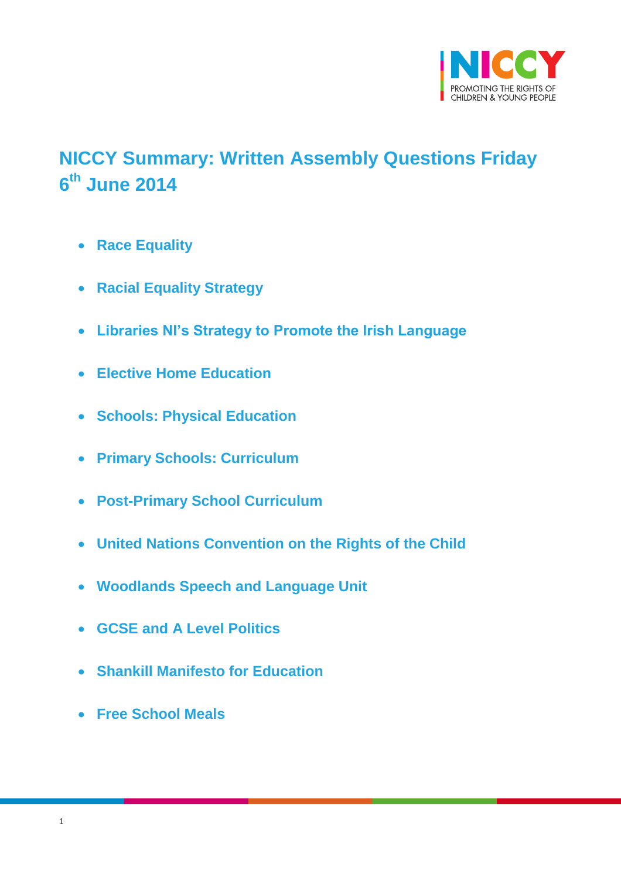

# <span id="page-0-0"></span>**NICCY Summary: Written Assembly Questions Friday 6 th June 2014**

- **[Race Equality](#page-2-0)**
- **[Racial Equality Strategy](#page-2-1)**
- **[Libraries NI's Strategy to Promote the Irish Language](#page-3-0)**
- **[Elective Home Education](#page-4-0)**
- **[Schools: Physical Education](#page-4-1)**
- **[Primary Schools: Curriculum](#page-5-0)**
- **[Post-Primary School Curriculum](#page-5-1)**
- **[United Nations Convention on the Rights of the Child](#page-6-0)**
- **[Woodlands Speech and Language Unit](#page-6-1)**
- **[GCSE and A Level Politics](#page-7-0)**
- **[Shankill Manifesto for Education](#page-8-0)**
- **[Free School Meals](#page-8-1)**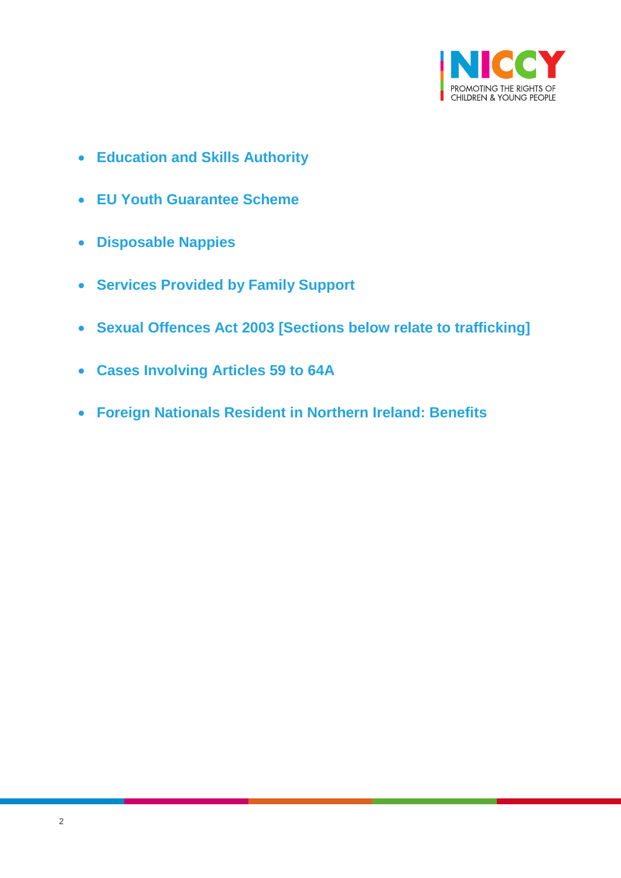

- **[Education and Skills Authority](#page-9-0)**
- **[EU Youth Guarantee Scheme](#page-10-0)**
- **[Disposable Nappies](#page-12-0)**
- **[Services Provided by Family Support](#page-13-0)**
- **[Sexual Offences Act 2003 \[Sections below relate to trafficking\]](#page-14-0)**
- **[Cases Involving Articles 59 to 64A](#page-15-0)**
- **[Foreign Nationals Resident in Northern Ireland: Benefits](#page-16-0)**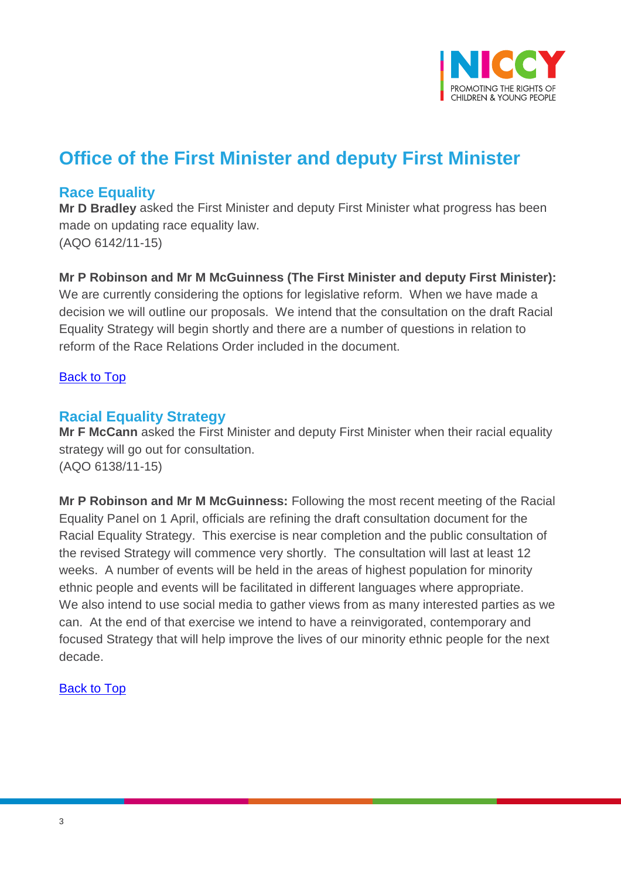

## **Office of the First Minister and deputy First Minister**

### <span id="page-2-0"></span>**Race Equality**

**Mr D Bradley** asked the First Minister and deputy First Minister what progress has been made on updating race equality law. (AQO 6142/11-15)

#### **Mr P Robinson and Mr M McGuinness (The First Minister and deputy First Minister):**

We are currently considering the options for legislative reform. When we have made a decision we will outline our proposals. We intend that the consultation on the draft Racial Equality Strategy will begin shortly and there are a number of questions in relation to reform of the Race Relations Order included in the document.

#### [Back to Top](#page-0-0)

#### <span id="page-2-1"></span>**Racial Equality Strategy**

**Mr F McCann** asked the First Minister and deputy First Minister when their racial equality strategy will go out for consultation. (AQO 6138/11-15)

**Mr P Robinson and Mr M McGuinness:** Following the most recent meeting of the Racial Equality Panel on 1 April, officials are refining the draft consultation document for the Racial Equality Strategy. This exercise is near completion and the public consultation of the revised Strategy will commence very shortly. The consultation will last at least 12 weeks. A number of events will be held in the areas of highest population for minority ethnic people and events will be facilitated in different languages where appropriate. We also intend to use social media to gather views from as many interested parties as we can. At the end of that exercise we intend to have a reinvigorated, contemporary and focused Strategy that will help improve the lives of our minority ethnic people for the next decade.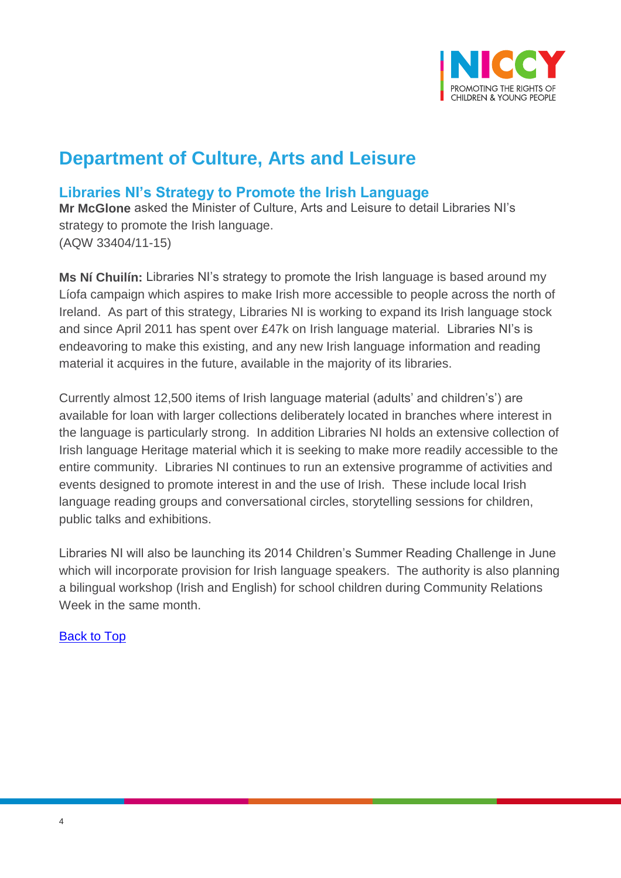

## **Department of Culture, Arts and Leisure**

## <span id="page-3-0"></span>**Libraries NI's Strategy to Promote the Irish Language**

**Mr McGlone** asked the Minister of Culture, Arts and Leisure to detail Libraries NI's strategy to promote the Irish language. (AQW 33404/11-15)

**Ms Ní Chuilín:** Libraries NI's strategy to promote the Irish language is based around my Líofa campaign which aspires to make Irish more accessible to people across the north of Ireland. As part of this strategy, Libraries NI is working to expand its Irish language stock and since April 2011 has spent over £47k on Irish language material. Libraries NI's is endeavoring to make this existing, and any new Irish language information and reading material it acquires in the future, available in the majority of its libraries.

Currently almost 12,500 items of Irish language material (adults' and children's') are available for loan with larger collections deliberately located in branches where interest in the language is particularly strong. In addition Libraries NI holds an extensive collection of Irish language Heritage material which it is seeking to make more readily accessible to the entire community. Libraries NI continues to run an extensive programme of activities and events designed to promote interest in and the use of Irish. These include local Irish language reading groups and conversational circles, storytelling sessions for children, public talks and exhibitions.

Libraries NI will also be launching its 2014 Children's Summer Reading Challenge in June which will incorporate provision for Irish language speakers. The authority is also planning a bilingual workshop (Irish and English) for school children during Community Relations Week in the same month.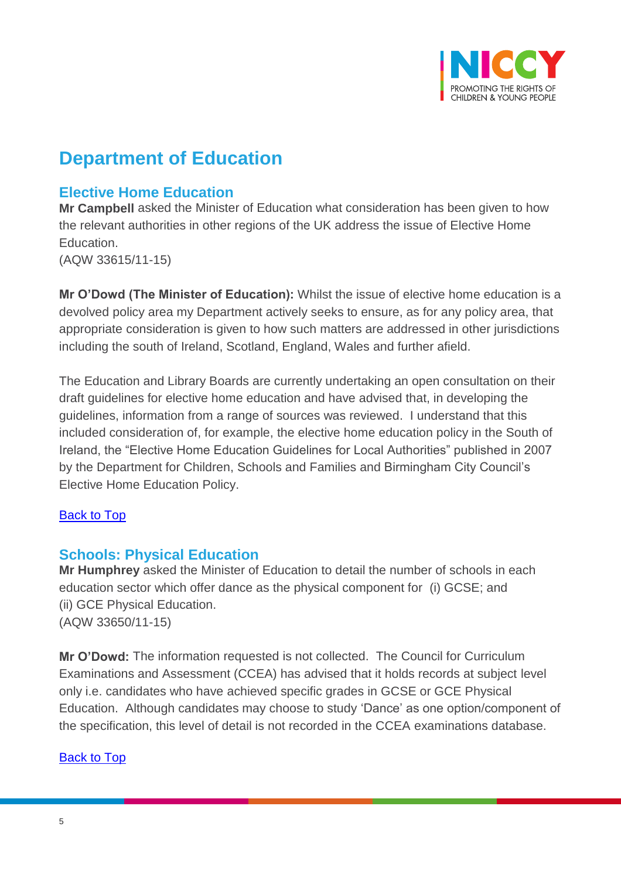

## **Department of Education**

## <span id="page-4-0"></span>**Elective Home Education**

**Mr Campbell** asked the Minister of Education what consideration has been given to how the relevant authorities in other regions of the UK address the issue of Elective Home Education.

(AQW 33615/11-15)

**Mr O'Dowd (The Minister of Education):** Whilst the issue of elective home education is a devolved policy area my Department actively seeks to ensure, as for any policy area, that appropriate consideration is given to how such matters are addressed in other jurisdictions including the south of Ireland, Scotland, England, Wales and further afield.

The Education and Library Boards are currently undertaking an open consultation on their draft guidelines for elective home education and have advised that, in developing the guidelines, information from a range of sources was reviewed. I understand that this included consideration of, for example, the elective home education policy in the South of Ireland, the "Elective Home Education Guidelines for Local Authorities" published in 2007 by the Department for Children, Schools and Families and Birmingham City Council's Elective Home Education Policy.

#### [Back to Top](#page-0-0)

### <span id="page-4-1"></span>**Schools: Physical Education**

**Mr Humphrey** asked the Minister of Education to detail the number of schools in each education sector which offer dance as the physical component for (i) GCSE; and (ii) GCE Physical Education. (AQW 33650/11-15)

**Mr O'Dowd:** The information requested is not collected. The Council for Curriculum Examinations and Assessment (CCEA) has advised that it holds records at subject level only i.e. candidates who have achieved specific grades in GCSE or GCE Physical Education. Although candidates may choose to study 'Dance' as one option/component of the specification, this level of detail is not recorded in the CCEA examinations database.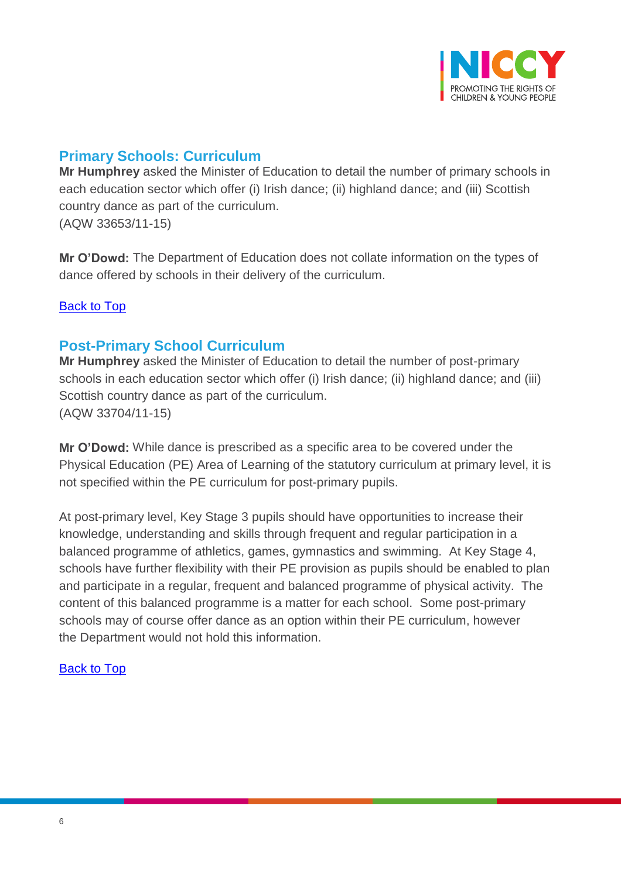

## <span id="page-5-0"></span>**Primary Schools: Curriculum**

**Mr Humphrey** asked the Minister of Education to detail the number of primary schools in each education sector which offer (i) Irish dance; (ii) highland dance; and (iii) Scottish country dance as part of the curriculum. (AQW 33653/11-15)

**Mr O'Dowd:** The Department of Education does not collate information on the types of dance offered by schools in their delivery of the curriculum.

[Back to Top](#page-0-0)

#### <span id="page-5-1"></span>**Post-Primary School Curriculum**

**Mr Humphrey** asked the Minister of Education to detail the number of post-primary schools in each education sector which offer (i) Irish dance; (ii) highland dance; and (iii) Scottish country dance as part of the curriculum. (AQW 33704/11-15)

**Mr O'Dowd:** While dance is prescribed as a specific area to be covered under the Physical Education (PE) Area of Learning of the statutory curriculum at primary level, it is not specified within the PE curriculum for post-primary pupils.

At post-primary level, Key Stage 3 pupils should have opportunities to increase their knowledge, understanding and skills through frequent and regular participation in a balanced programme of athletics, games, gymnastics and swimming. At Key Stage 4, schools have further flexibility with their PE provision as pupils should be enabled to plan and participate in a regular, frequent and balanced programme of physical activity. The content of this balanced programme is a matter for each school. Some post-primary schools may of course offer dance as an option within their PE curriculum, however the Department would not hold this information.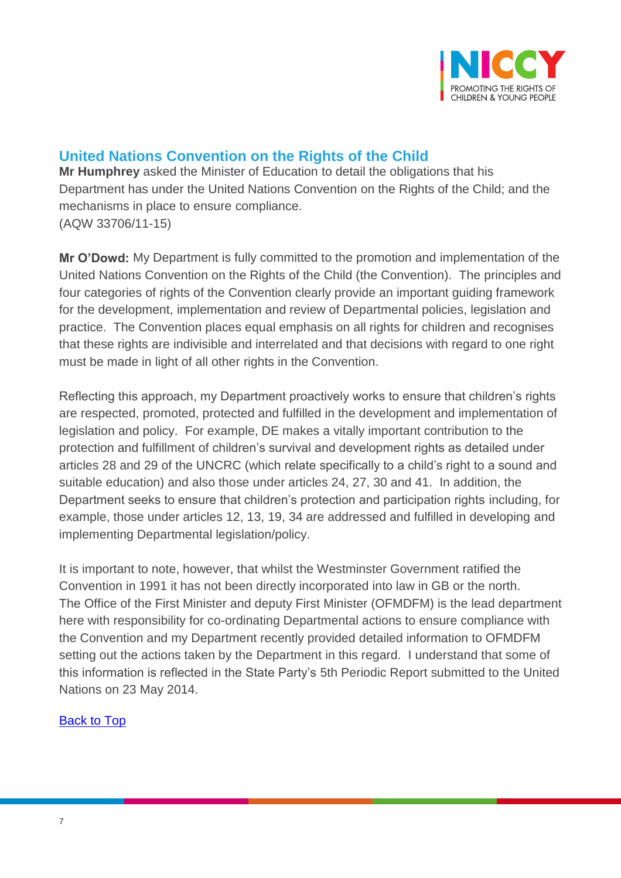

## <span id="page-6-0"></span>**United Nations Convention on the Rights of the Child**

**Mr Humphrey** asked the Minister of Education to detail the obligations that his Department has under the United Nations Convention on the Rights of the Child; and the mechanisms in place to ensure compliance. (AQW 33706/11-15)

**Mr O'Dowd:** My Department is fully committed to the promotion and implementation of the United Nations Convention on the Rights of the Child (the Convention). The principles and four categories of rights of the Convention clearly provide an important guiding framework for the development, implementation and review of Departmental policies, legislation and practice. The Convention places equal emphasis on all rights for children and recognises that these rights are indivisible and interrelated and that decisions with regard to one right must be made in light of all other rights in the Convention.

Reflecting this approach, my Department proactively works to ensure that children's rights are respected, promoted, protected and fulfilled in the development and implementation of legislation and policy. For example, DE makes a vitally important contribution to the protection and fulfillment of children's survival and development rights as detailed under articles 28 and 29 of the UNCRC (which relate specifically to a child's right to a sound and suitable education) and also those under articles 24, 27, 30 and 41. In addition, the Department seeks to ensure that children's protection and participation rights including, for example, those under articles 12, 13, 19, 34 are addressed and fulfilled in developing and implementing Departmental legislation/policy.

<span id="page-6-1"></span>It is important to note, however, that whilst the Westminster Government ratified the Convention in 1991 it has not been directly incorporated into law in GB or the north. The Office of the First Minister and deputy First Minister (OFMDFM) is the lead department here with responsibility for co-ordinating Departmental actions to ensure compliance with the Convention and my Department recently provided detailed information to OFMDFM setting out the actions taken by the Department in this regard. I understand that some of this information is reflected in the State Party's 5th Periodic Report submitted to the United Nations on 23 May 2014.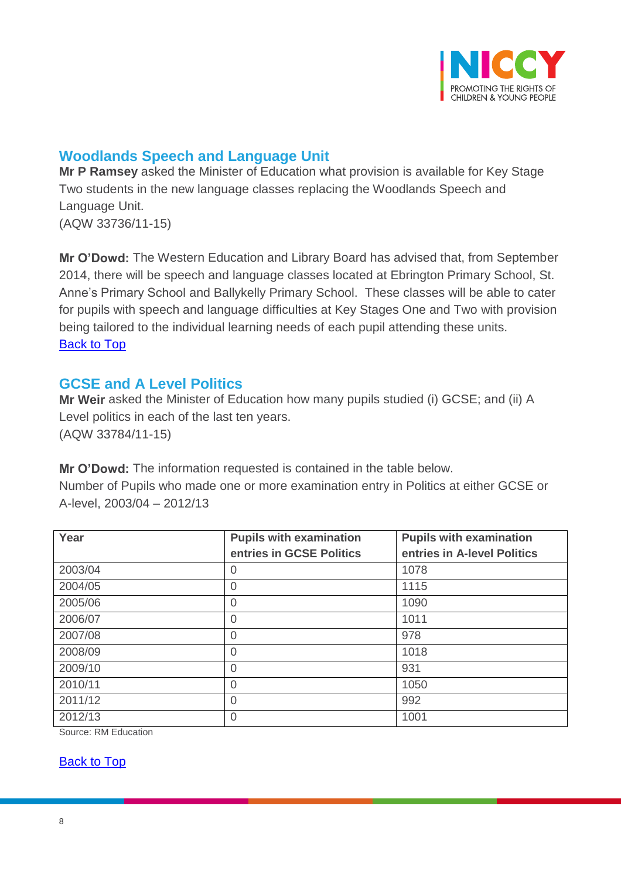

## **Woodlands Speech and Language Unit**

**Mr P Ramsey** asked the Minister of Education what provision is available for Key Stage Two students in the new language classes replacing the Woodlands Speech and Language Unit. (AQW 33736/11-15)

**Mr O'Dowd:** The Western Education and Library Board has advised that, from September 2014, there will be speech and language classes located at Ebrington Primary School, St. Anne's Primary School and Ballykelly Primary School. These classes will be able to cater for pupils with speech and language difficulties at Key Stages One and Two with provision being tailored to the individual learning needs of each pupil attending these units. [Back to Top](#page-0-0)

### <span id="page-7-0"></span>**GCSE and A Level Politics**

**Mr Weir** asked the Minister of Education how many pupils studied (i) GCSE; and (ii) A Level politics in each of the last ten years. (AQW 33784/11-15)

**Mr O'Dowd:** The information requested is contained in the table below. Number of Pupils who made one or more examination entry in Politics at either GCSE or A-level, 2003/04 – 2012/13

| Year    | <b>Pupils with examination</b> | <b>Pupils with examination</b> |  |
|---------|--------------------------------|--------------------------------|--|
|         | entries in GCSE Politics       | entries in A-level Politics    |  |
| 2003/04 | $\Omega$                       | 1078                           |  |
| 2004/05 | 0                              | 1115                           |  |
| 2005/06 | 0                              | 1090                           |  |
| 2006/07 | $\overline{0}$                 | 1011                           |  |
| 2007/08 | 0                              | 978                            |  |
| 2008/09 | 0                              | 1018                           |  |
| 2009/10 | $\overline{0}$                 | 931                            |  |
| 2010/11 | $\overline{0}$                 | 1050                           |  |
| 2011/12 | $\overline{0}$                 | 992                            |  |
| 2012/13 | $\overline{0}$                 | 1001                           |  |

Source: RM Education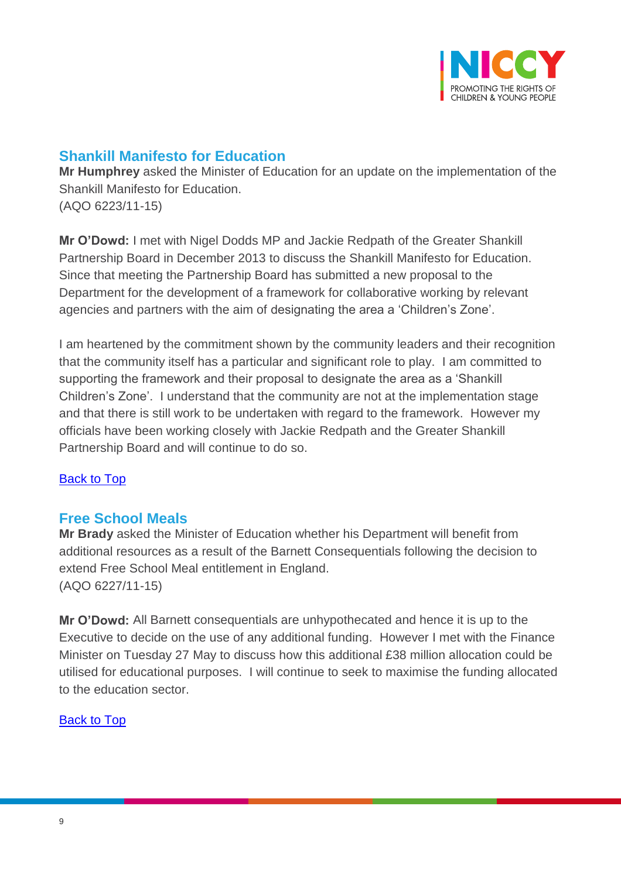

## <span id="page-8-0"></span>**Shankill Manifesto for Education**

**Mr Humphrey** asked the Minister of Education for an update on the implementation of the Shankill Manifesto for Education. (AQO 6223/11-15)

**Mr O'Dowd:** I met with Nigel Dodds MP and Jackie Redpath of the Greater Shankill Partnership Board in December 2013 to discuss the Shankill Manifesto for Education. Since that meeting the Partnership Board has submitted a new proposal to the Department for the development of a framework for collaborative working by relevant agencies and partners with the aim of designating the area a 'Children's Zone'.

I am heartened by the commitment shown by the community leaders and their recognition that the community itself has a particular and significant role to play. I am committed to supporting the framework and their proposal to designate the area as a 'Shankill Children's Zone'. I understand that the community are not at the implementation stage and that there is still work to be undertaken with regard to the framework. However my officials have been working closely with Jackie Redpath and the Greater Shankill Partnership Board and will continue to do so.

#### [Back to Top](#page-0-0)

### <span id="page-8-1"></span>**Free School Meals**

**Mr Brady** asked the Minister of Education whether his Department will benefit from additional resources as a result of the Barnett Consequentials following the decision to extend Free School Meal entitlement in England. (AQO 6227/11-15)

**Mr O'Dowd:** All Barnett consequentials are unhypothecated and hence it is up to the Executive to decide on the use of any additional funding. However I met with the Finance Minister on Tuesday 27 May to discuss how this additional £38 million allocation could be utilised for educational purposes. I will continue to seek to maximise the funding allocated to the education sector.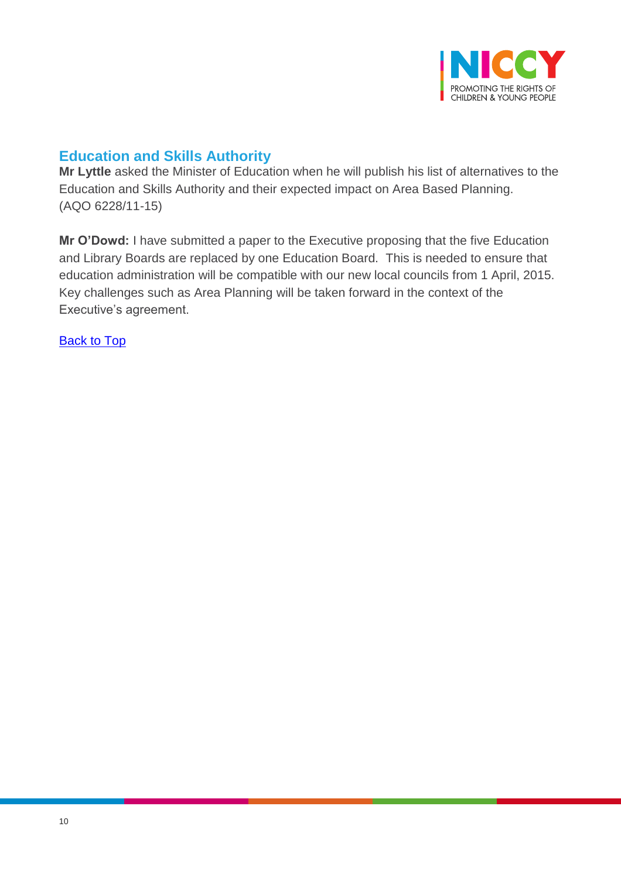

## <span id="page-9-0"></span>**Education and Skills Authority**

**Mr Lyttle** asked the Minister of Education when he will publish his list of alternatives to the Education and Skills Authority and their expected impact on Area Based Planning. (AQO 6228/11-15)

**Mr O'Dowd:** I have submitted a paper to the Executive proposing that the five Education and Library Boards are replaced by one Education Board. This is needed to ensure that education administration will be compatible with our new local councils from 1 April, 2015. Key challenges such as Area Planning will be taken forward in the context of the Executive's agreement.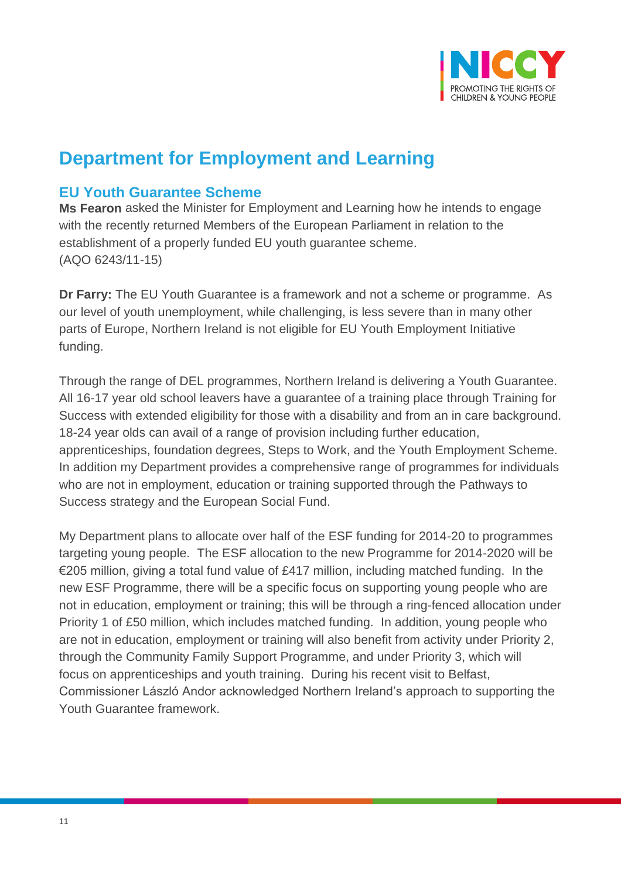

## **Department for Employment and Learning**

## <span id="page-10-0"></span>**EU Youth Guarantee Scheme**

**Ms Fearon** asked the Minister for Employment and Learning how he intends to engage with the recently returned Members of the European Parliament in relation to the establishment of a properly funded EU youth guarantee scheme. (AQO 6243/11-15)

**Dr Farry:** The EU Youth Guarantee is a framework and not a scheme or programme. As our level of youth unemployment, while challenging, is less severe than in many other parts of Europe, Northern Ireland is not eligible for EU Youth Employment Initiative funding.

Through the range of DEL programmes, Northern Ireland is delivering a Youth Guarantee. All 16-17 year old school leavers have a guarantee of a training place through Training for Success with extended eligibility for those with a disability and from an in care background. 18-24 year olds can avail of a range of provision including further education, apprenticeships, foundation degrees, Steps to Work, and the Youth Employment Scheme. In addition my Department provides a comprehensive range of programmes for individuals who are not in employment, education or training supported through the Pathways to Success strategy and the European Social Fund.

My Department plans to allocate over half of the ESF funding for 2014-20 to programmes targeting young people. The ESF allocation to the new Programme for 2014-2020 will be  $\epsilon$ 205 million, giving a total fund value of £417 million, including matched funding. In the new ESF Programme, there will be a specific focus on supporting young people who are not in education, employment or training; this will be through a ring-fenced allocation under Priority 1 of £50 million, which includes matched funding. In addition, young people who are not in education, employment or training will also benefit from activity under Priority 2, through the Community Family Support Programme, and under Priority 3, which will focus on apprenticeships and youth training. During his recent visit to Belfast, Commissioner László Andor acknowledged Northern Ireland's approach to supporting the Youth Guarantee framework.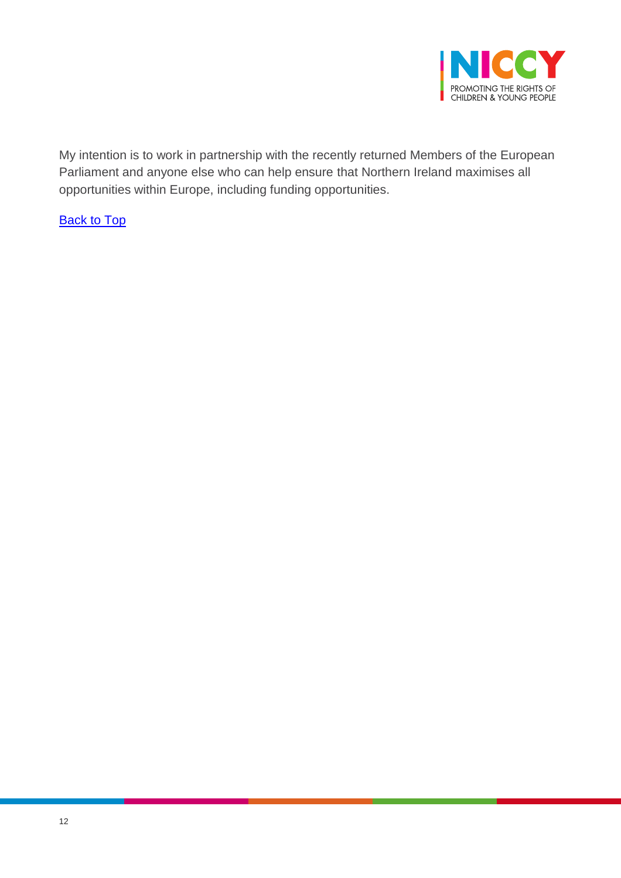

My intention is to work in partnership with the recently returned Members of the European Parliament and anyone else who can help ensure that Northern Ireland maximises all opportunities within Europe, including funding opportunities.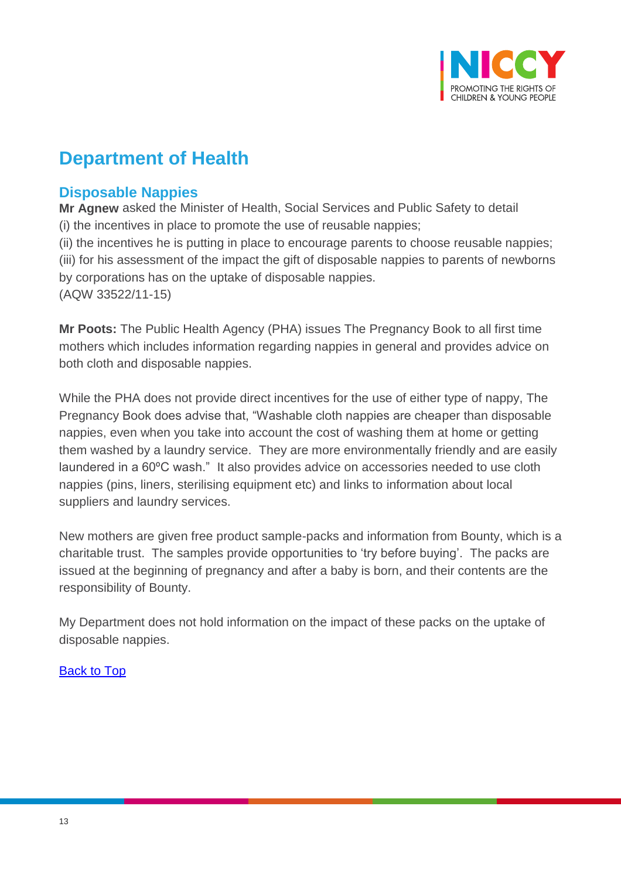

## **Department of Health**

## <span id="page-12-0"></span>**Disposable Nappies**

**Mr Agnew** asked the Minister of Health, Social Services and Public Safety to detail (i) the incentives in place to promote the use of reusable nappies; (ii) the incentives he is putting in place to encourage parents to choose reusable nappies; (iii) for his assessment of the impact the gift of disposable nappies to parents of newborns by corporations has on the uptake of disposable nappies. (AQW 33522/11-15)

**Mr Poots:** The Public Health Agency (PHA) issues The Pregnancy Book to all first time mothers which includes information regarding nappies in general and provides advice on both cloth and disposable nappies.

While the PHA does not provide direct incentives for the use of either type of nappy, The Pregnancy Book does advise that, "Washable cloth nappies are cheaper than disposable nappies, even when you take into account the cost of washing them at home or getting them washed by a laundry service. They are more environmentally friendly and are easily laundered in a 60ºC wash." It also provides advice on accessories needed to use cloth nappies (pins, liners, sterilising equipment etc) and links to information about local suppliers and laundry services.

New mothers are given free product sample-packs and information from Bounty, which is a charitable trust. The samples provide opportunities to 'try before buying'. The packs are issued at the beginning of pregnancy and after a baby is born, and their contents are the responsibility of Bounty.

My Department does not hold information on the impact of these packs on the uptake of disposable nappies.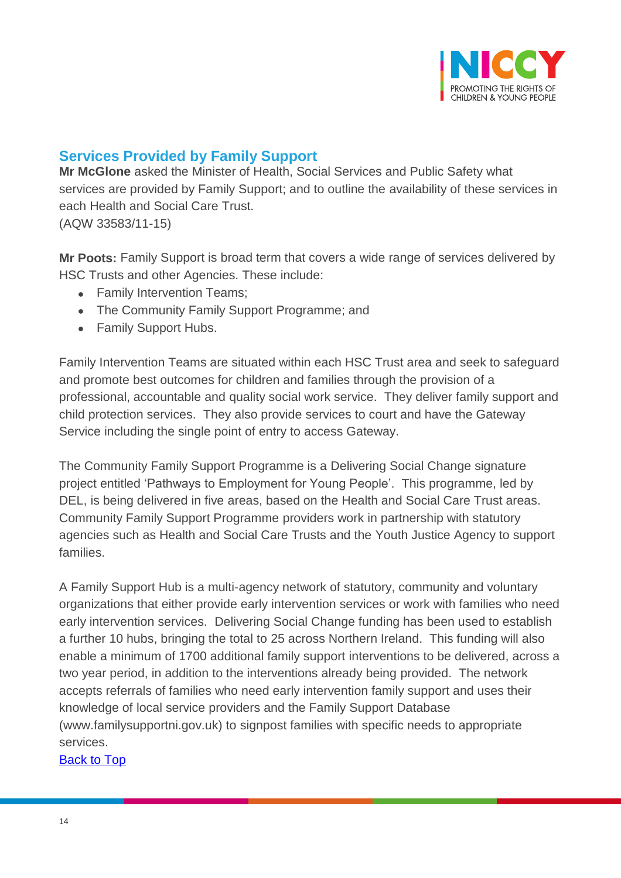

## <span id="page-13-0"></span>**Services Provided by Family Support**

**Mr McGlone** asked the Minister of Health, Social Services and Public Safety what services are provided by Family Support; and to outline the availability of these services in each Health and Social Care Trust. (AQW 33583/11-15)

**Mr Poots:** Family Support is broad term that covers a wide range of services delivered by HSC Trusts and other Agencies. These include:

- Family Intervention Teams:
- The Community Family Support Programme; and
- Family Support Hubs.

Family Intervention Teams are situated within each HSC Trust area and seek to safeguard and promote best outcomes for children and families through the provision of a professional, accountable and quality social work service. They deliver family support and child protection services. They also provide services to court and have the Gateway Service including the single point of entry to access Gateway.

The Community Family Support Programme is a Delivering Social Change signature project entitled 'Pathways to Employment for Young People'. This programme, led by DEL, is being delivered in five areas, based on the Health and Social Care Trust areas. Community Family Support Programme providers work in partnership with statutory agencies such as Health and Social Care Trusts and the Youth Justice Agency to support families.

A Family Support Hub is a multi-agency network of statutory, community and voluntary organizations that either provide early intervention services or work with families who need early intervention services. Delivering Social Change funding has been used to establish a further 10 hubs, bringing the total to 25 across Northern Ireland. This funding will also enable a minimum of 1700 additional family support interventions to be delivered, across a two year period, in addition to the interventions already being provided. The network accepts referrals of families who need early intervention family support and uses their knowledge of local service providers and the Family Support Database (www.familysupportni.gov.uk) to signpost families with specific needs to appropriate services.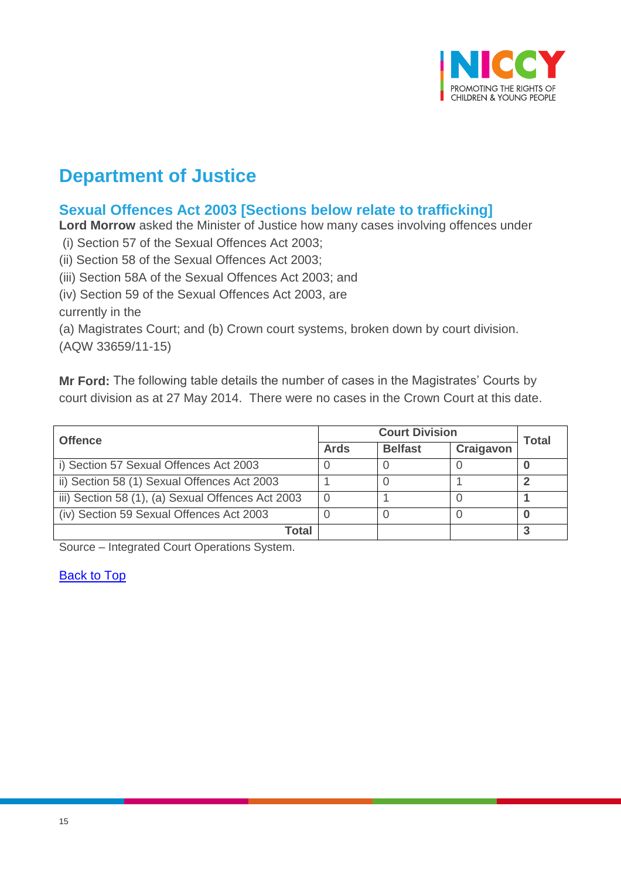

## **Department of Justice**

## <span id="page-14-0"></span>**Sexual Offences Act 2003 [Sections below relate to trafficking]**

**Lord Morrow** asked the Minister of Justice how many cases involving offences under

(i) Section 57 of the Sexual Offences Act 2003;

(ii) Section 58 of the Sexual Offences Act 2003;

(iii) Section 58A of the Sexual Offences Act 2003; and

(iv) Section 59 of the Sexual Offences Act 2003, are

currently in the

(a) Magistrates Court; and (b) Crown court systems, broken down by court division.

(AQW 33659/11-15)

**Mr Ford:** The following table details the number of cases in the Magistrates' Courts by court division as at 27 May 2014. There were no cases in the Crown Court at this date.

| <b>Offence</b>                                    | <b>Court Division</b> |                | Total     |  |
|---------------------------------------------------|-----------------------|----------------|-----------|--|
|                                                   | <b>Ards</b>           | <b>Belfast</b> | Craigavon |  |
| i) Section 57 Sexual Offences Act 2003            |                       |                |           |  |
| ii) Section 58 (1) Sexual Offences Act 2003       |                       |                |           |  |
| iii) Section 58 (1), (a) Sexual Offences Act 2003 |                       |                |           |  |
| (iv) Section 59 Sexual Offences Act 2003          |                       |                |           |  |
| Total                                             |                       |                |           |  |

Source – Integrated Court Operations System.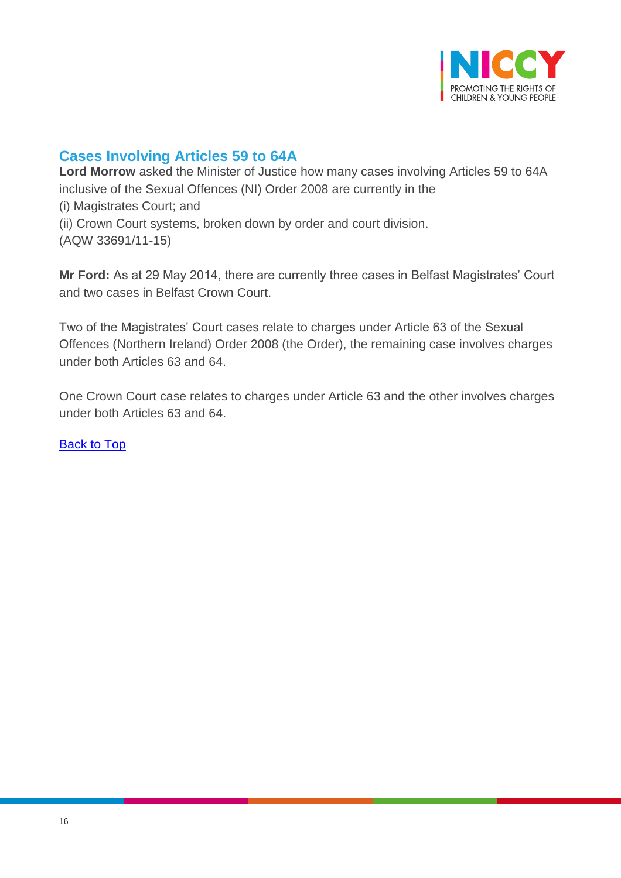

## <span id="page-15-0"></span>**Cases Involving Articles 59 to 64A**

**Lord Morrow** asked the Minister of Justice how many cases involving Articles 59 to 64A inclusive of the Sexual Offences (NI) Order 2008 are currently in the (i) Magistrates Court; and (ii) Crown Court systems, broken down by order and court division. (AQW 33691/11-15)

**Mr Ford:** As at 29 May 2014, there are currently three cases in Belfast Magistrates' Court and two cases in Belfast Crown Court.

Two of the Magistrates' Court cases relate to charges under Article 63 of the Sexual Offences (Northern Ireland) Order 2008 (the Order), the remaining case involves charges under both Articles 63 and 64.

One Crown Court case relates to charges under Article 63 and the other involves charges under both Articles 63 and 64.